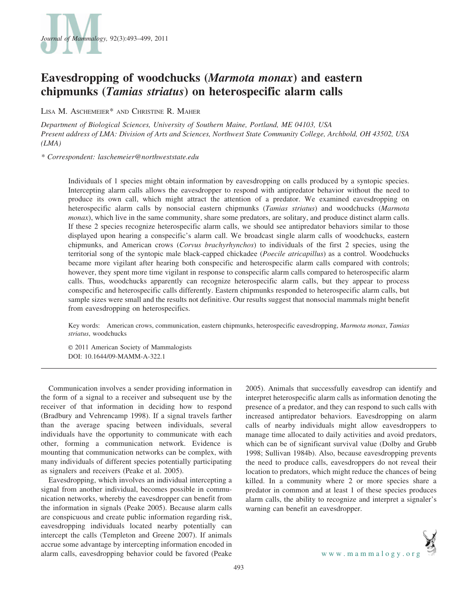

# Eavesdropping of woodchucks (Marmota monax) and eastern chipmunks (Tamias striatus) on heterospecific alarm calls

LISA M. ASCHEMEIER\* AND CHRISTINE R. MAHER

Department of Biological Sciences, University of Southern Maine, Portland, ME 04103, USA Present address of LMA: Division of Arts and Sciences, Northwest State Community College, Archbold, OH 43502, USA  $(LMA)$ 

\* Correspondent: laschemeier@northweststate.edu

Individuals of 1 species might obtain information by eavesdropping on calls produced by a syntopic species. Intercepting alarm calls allows the eavesdropper to respond with antipredator behavior without the need to produce its own call, which might attract the attention of a predator. We examined eavesdropping on heterospecific alarm calls by nonsocial eastern chipmunks (Tamias striatus) and woodchucks (Marmota monax), which live in the same community, share some predators, are solitary, and produce distinct alarm calls. If these 2 species recognize heterospecific alarm calls, we should see antipredator behaviors similar to those displayed upon hearing a conspecific's alarm call. We broadcast single alarm calls of woodchucks, eastern chipmunks, and American crows (Corvus brachyrhynchos) to individuals of the first 2 species, using the territorial song of the syntopic male black-capped chickadee (Poecile atricapillus) as a control. Woodchucks became more vigilant after hearing both conspecific and heterospecific alarm calls compared with controls; however, they spent more time vigilant in response to conspecific alarm calls compared to heterospecific alarm calls. Thus, woodchucks apparently can recognize heterospecific alarm calls, but they appear to process conspecific and heterospecific calls differently. Eastern chipmunks responded to heterospecific alarm calls, but sample sizes were small and the results not definitive. Our results suggest that nonsocial mammals might benefit from eavesdropping on heterospecifics.

Key words: American crows, communication, eastern chipmunks, heterospecific eavesdropping, Marmota monax, Tamias striatus, woodchucks

E 2011 American Society of Mammalogists DOI: 10.1644/09-MAMM-A-322.1

Communication involves a sender providing information in the form of a signal to a receiver and subsequent use by the receiver of that information in deciding how to respond (Bradbury and Vehrencamp 1998). If a signal travels farther than the average spacing between individuals, several individuals have the opportunity to communicate with each other, forming a communication network. Evidence is mounting that communication networks can be complex, with many individuals of different species potentially participating as signalers and receivers (Peake et al. 2005).

Eavesdropping, which involves an individual intercepting a signal from another individual, becomes possible in communication networks, whereby the eavesdropper can benefit from the information in signals (Peake 2005). Because alarm calls are conspicuous and create public information regarding risk, eavesdropping individuals located nearby potentially can intercept the calls (Templeton and Greene 2007). If animals accrue some advantage by intercepting information encoded in alarm calls, eavesdropping behavior could be favored (Peake 2005). Animals that successfully eavesdrop can identify and interpret heterospecific alarm calls as information denoting the presence of a predator, and they can respond to such calls with increased antipredator behaviors. Eavesdropping on alarm calls of nearby individuals might allow eavesdroppers to manage time allocated to daily activities and avoid predators, which can be of significant survival value (Dolby and Grubb 1998; Sullivan 1984b). Also, because eavesdropping prevents the need to produce calls, eavesdroppers do not reveal their location to predators, which might reduce the chances of being killed. In a community where 2 or more species share a predator in common and at least 1 of these species produces alarm calls, the ability to recognize and interpret a signaler's warning can benefit an eavesdropper.

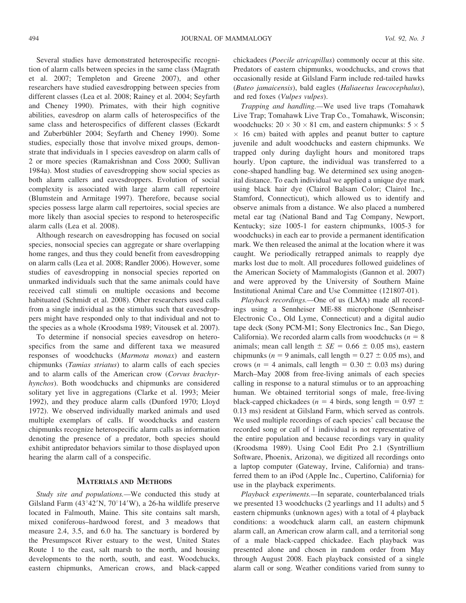Several studies have demonstrated heterospecific recognition of alarm calls between species in the same class (Magrath et al. 2007; Templeton and Greene 2007), and other researchers have studied eavesdropping between species from different classes (Lea et al. 2008; Rainey et al. 2004; Seyfarth and Cheney 1990). Primates, with their high cognitive abilities, eavesdrop on alarm calls of heterospecifics of the same class and heterospecifics of different classes (Eckardt and Zuberbühler 2004; Seyfarth and Cheney 1990). Some studies, especially those that involve mixed groups, demonstrate that individuals in 1 species eavesdrop on alarm calls of 2 or more species (Ramakrishnan and Coss 2000; Sullivan 1984a). Most studies of eavesdropping show social species as both alarm callers and eavesdroppers. Evolution of social complexity is associated with large alarm call repertoire (Blumstein and Armitage 1997). Therefore, because social species possess large alarm call repertoires, social species are more likely than asocial species to respond to heterospecific alarm calls (Lea et al. 2008).

Although research on eavesdropping has focused on social species, nonsocial species can aggregate or share overlapping home ranges, and thus they could benefit from eavesdropping on alarm calls (Lea et al. 2008; Randler 2006). However, some studies of eavesdropping in nonsocial species reported on unmarked individuals such that the same animals could have received call stimuli on multiple occasions and become habituated (Schmidt et al. 2008). Other researchers used calls from a single individual as the stimulus such that eavesdroppers might have responded only to that individual and not to the species as a whole (Kroodsma 1989; Vitousek et al. 2007).

To determine if nonsocial species eavesdrop on heterospecifics from the same and different taxa we measured responses of woodchucks (Marmota monax) and eastern chipmunks (Tamias striatus) to alarm calls of each species and to alarm calls of the American crow (Corvus brachyrhynchos). Both woodchucks and chipmunks are considered solitary yet live in aggregations (Clarke et al. 1993; Meier 1992), and they produce alarm calls (Dunford 1970; Lloyd 1972). We observed individually marked animals and used multiple exemplars of calls. If woodchucks and eastern chipmunks recognize heterospecific alarm calls as information denoting the presence of a predator, both species should exhibit antipredator behaviors similar to those displayed upon hearing the alarm call of a conspecific.

# MATERIALS AND METHODS

Study site and populations.—We conducted this study at Gilsland Farm  $(43^{\circ}42'N, 70^{\circ}14'W)$ , a 26-ha wildlife preserve located in Falmouth, Maine. This site contains salt marsh, mixed coniferous–hardwood forest, and 3 meadows that measure 2.4, 3.5, and 6.0 ha. The sanctuary is bordered by the Presumpscot River estuary to the west, United States Route 1 to the east, salt marsh to the north, and housing developments to the north, south, and east. Woodchucks, eastern chipmunks, American crows, and black-capped chickadees (Poecile atricapillus) commonly occur at this site. Predators of eastern chipmunks, woodchucks, and crows that occasionally reside at Gilsland Farm include red-tailed hawks (Buteo jamaicensis), bald eagles (Haliaeetus leucocephalus), and red foxes (Vulpes vulpes).

Trapping and handling.—We used live traps (Tomahawk Live Trap; Tomahawk Live Trap Co., Tomahawk, Wisconsin; woodchucks:  $20 \times 30 \times 81$  cm, and eastern chipmunks:  $5 \times 5$  $\times$  16 cm) baited with apples and peanut butter to capture juvenile and adult woodchucks and eastern chipmunks. We trapped only during daylight hours and monitored traps hourly. Upon capture, the individual was transferred to a cone-shaped handling bag. We determined sex using anogenital distance. To each individual we applied a unique dye mark using black hair dye (Clairol Balsam Color; Clairol Inc., Stamford, Connecticut), which allowed us to identify and observe animals from a distance. We also placed a numbered metal ear tag (National Band and Tag Company, Newport, Kentucky; size 1005-1 for eastern chipmunks, 1005-3 for woodchucks) in each ear to provide a permanent identification mark. We then released the animal at the location where it was caught. We periodically retrapped animals to reapply dye marks lost due to molt. All procedures followed guidelines of the American Society of Mammalogists (Gannon et al. 2007) and were approved by the University of Southern Maine Institutional Animal Care and Use Committee (121807-01).

Playback recordings.—One of us (LMA) made all recordings using a Sennheiser ME-88 microphone (Sennheiser Electronic Co., Old Lyme, Connecticut) and a digital audio tape deck (Sony PCM-M1; Sony Electronics Inc., San Diego, California). We recorded alarm calls from woodchucks ( $n = 8$ ) animals; mean call length  $\pm$  SE = 0.66  $\pm$  0.05 ms), eastern chipmunks ( $n = 9$  animals, call length =  $0.27 \pm 0.05$  ms), and crows ( $n = 4$  animals, call length =  $0.30 \pm 0.03$  ms) during March–May 2008 from free-living animals of each species calling in response to a natural stimulus or to an approaching human. We obtained territorial songs of male, free-living black-capped chickadees ( $n = 4$  birds, song length = 0.97  $\pm$ 0.13 ms) resident at Gilsland Farm, which served as controls. We used multiple recordings of each species' call because the recorded song or call of 1 individual is not representative of the entire population and because recordings vary in quality (Kroodsma 1989). Using Cool Edit Pro 2.1 (Syntrillium Software, Phoenix, Arizona), we digitized all recordings onto a laptop computer (Gateway, Irvine, California) and transferred them to an iPod (Apple Inc., Cupertino, California) for use in the playback experiments.

Playback experiments.—In separate, counterbalanced trials we presented 13 woodchucks (2 yearlings and 11 adults) and 5 eastern chipmunks (unknown ages) with a total of 4 playback conditions: a woodchuck alarm call, an eastern chipmunk alarm call, an American crow alarm call, and a territorial song of a male black-capped chickadee. Each playback was presented alone and chosen in random order from May through August 2008. Each playback consisted of a single alarm call or song. Weather conditions varied from sunny to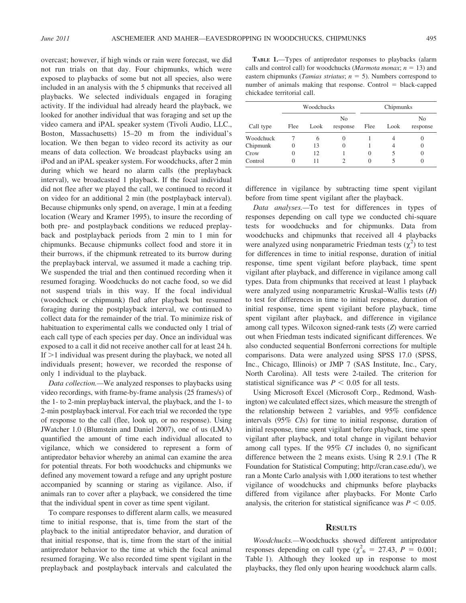overcast; however, if high winds or rain were forecast, we did not run trials on that day. Four chipmunks, which were exposed to playbacks of some but not all species, also were included in an analysis with the 5 chipmunks that received all playbacks. We selected individuals engaged in foraging activity. If the individual had already heard the playback, we looked for another individual that was foraging and set up the video camera and iPAL speaker system (Tivoli Audio, LLC., Boston, Massachusetts) 15–20 m from the individual's location. We then began to video record its activity as our means of data collection. We broadcast playbacks using an iPod and an iPAL speaker system. For woodchucks, after 2 min during which we heard no alarm calls (the preplayback interval), we broadcasted 1 playback. If the focal individual did not flee after we played the call, we continued to record it on video for an additional 2 min (the postplayback interval). Because chipmunks only spend, on average, 1 min at a feeding location (Weary and Kramer 1995), to insure the recording of both pre- and postplayback conditions we reduced preplayback and postplayback periods from 2 min to 1 min for chipmunks. Because chipmunks collect food and store it in their burrows, if the chipmunk retreated to its burrow during the preplayback interval, we assumed it made a caching trip. We suspended the trial and then continued recording when it resumed foraging. Woodchucks do not cache food, so we did not suspend trials in this way. If the focal individual (woodchuck or chipmunk) fled after playback but resumed foraging during the postplayback interval, we continued to collect data for the remainder of the trial. To minimize risk of habituation to experimental calls we conducted only 1 trial of each call type of each species per day. Once an individual was exposed to a call it did not receive another call for at least 24 h. If  $>1$  individual was present during the playback, we noted all individuals present; however, we recorded the response of only 1 individual to the playback.

Data collection.—We analyzed responses to playbacks using video recordings, with frame-by-frame analysis (25 frames/s) of the 1- to 2-min preplayback interval, the playback, and the 1- to 2-min postplayback interval. For each trial we recorded the type of response to the call (flee, look up, or no response). Using JWatcher 1.0 (Blumstein and Daniel 2007), one of us (LMA) quantified the amount of time each individual allocated to vigilance, which we considered to represent a form of antipredator behavior whereby an animal can examine the area for potential threats. For both woodchucks and chipmunks we defined any movement toward a refuge and any upright posture accompanied by scanning or staring as vigilance. Also, if animals ran to cover after a playback, we considered the time that the individual spent in cover as time spent vigilant.

To compare responses to different alarm calls, we measured time to initial response, that is, time from the start of the playback to the initial antipredator behavior, and duration of that initial response, that is, time from the start of the initial antipredator behavior to the time at which the focal animal resumed foraging. We also recorded time spent vigilant in the preplayback and postplayback intervals and calculated the

TABLE 1.—Types of antipredator responses to playbacks (alarm calls and control call) for woodchucks (*Marmota monax*;  $n = 13$ ) and eastern chipmunks (*Tamias striatus*;  $n = 5$ ). Numbers correspond to number of animals making that response. Control  $=$  black-capped chickadee territorial call.

|           |          | Woodchucks |                            | Chipmunks |      |                            |
|-----------|----------|------------|----------------------------|-----------|------|----------------------------|
| Call type | Flee     | Look       | N <sub>0</sub><br>response | Flee      | Look | N <sub>0</sub><br>response |
| Woodchuck |          | 6          | $\left( \right)$           |           |      | U                          |
| Chipmunk  | $\theta$ | 13         | $\left( \right)$           |           | 4    |                            |
| Crow      | 0        | 12         |                            | 0         |      | O                          |
| Control   | 0        |            |                            | 0         |      |                            |

difference in vigilance by subtracting time spent vigilant before from time spent vigilant after the playback.

Data analyses.—To test for differences in types of responses depending on call type we conducted chi-square tests for woodchucks and for chipmunks. Data from woodchucks and chipmunks that received all 4 playbacks were analyzed using nonparametric Friedman tests  $(\chi^2)$  to test for differences in time to initial response, duration of initial response, time spent vigilant before playback, time spent vigilant after playback, and difference in vigilance among call types. Data from chipmunks that received at least 1 playback were analyzed using nonparametric Kruskal–Wallis tests (H) to test for differences in time to initial response, duration of initial response, time spent vigilant before playback, time spent vigilant after playback, and difference in vigilance among call types. Wilcoxon signed-rank tests (Z) were carried out when Friedman tests indicated significant differences. We also conducted sequential Bonferroni corrections for multiple comparisons. Data were analyzed using SPSS 17.0 (SPSS, Inc., Chicago, Illinois) or JMP 7 (SAS Institute, Inc., Cary, North Carolina). All tests were 2-tailed. The criterion for statistical significance was  $P < 0.05$  for all tests.

Using Microsoft Excel (Microsoft Corp., Redmond, Washington) we calculated effect sizes, which measure the strength of the relationship between 2 variables, and 95% confidence intervals (95% CIs) for time to initial response, duration of initial response, time spent vigilant before playback, time spent vigilant after playback, and total change in vigilant behavior among call types. If the 95% CI includes 0, no significant difference between the 2 means exists. Using R 2.9.1 (The R Foundation for Statistical Computing; http://cran.case.edu/), we ran a Monte Carlo analysis with 1,000 iterations to test whether vigilance of woodchucks and chipmunks before playbacks differed from vigilance after playbacks. For Monte Carlo analysis, the criterion for statistical significance was  $P < 0.05$ .

### **RESULTS**

Woodchucks.—Woodchucks showed different antipredator responses depending on call type ( $\chi^2$ <sub>6</sub> = 27.43, *P* = 0.001; Table 1). Although they looked up in response to most playbacks, they fled only upon hearing woodchuck alarm calls.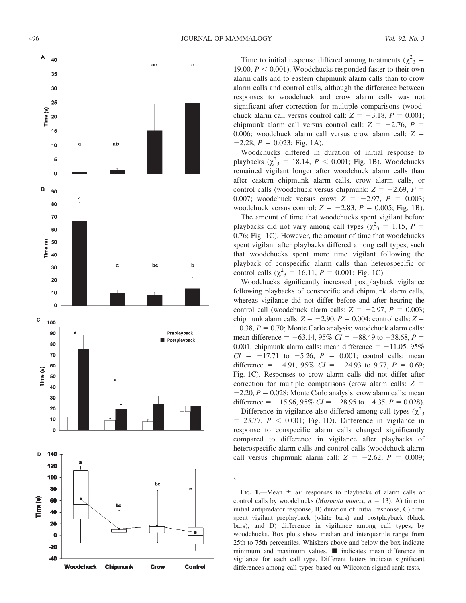

Time to initial response differed among treatments ( $\chi^2$ <sub>3</sub> = 19.00,  $P < 0.001$ ). Woodchucks responded faster to their own alarm calls and to eastern chipmunk alarm calls than to crow alarm calls and control calls, although the difference between responses to woodchuck and crow alarm calls was not significant after correction for multiple comparisons (woodchuck alarm call versus control call:  $Z = -3.18$ ,  $P = 0.001$ ; chipmunk alarm call versus control call:  $Z = -2.76$ ,  $P =$ 0.006; woodchuck alarm call versus crow alarm call:  $Z =$  $-2.28$ ,  $P = 0.023$ ; Fig. 1A).

Woodchucks differed in duration of initial response to playbacks ( $\chi^2$ <sub>3</sub> = 18.14, *P* < 0.001; Fig. 1B). Woodchucks remained vigilant longer after woodchuck alarm calls than after eastern chipmunk alarm calls, crow alarm calls, or control calls (woodchuck versus chipmunk:  $Z = -2.69$ ,  $P =$ 0.007; woodchuck versus crow:  $Z = -2.97$ ,  $P = 0.003$ ; woodchuck versus control:  $Z = -2.83$ ,  $P = 0.005$ ; Fig. 1B).

The amount of time that woodchucks spent vigilant before playbacks did not vary among call types ( $\chi^2$ <sub>3</sub> = 1.15, P = 0.76; Fig. 1C). However, the amount of time that woodchucks spent vigilant after playbacks differed among call types, such that woodchucks spent more time vigilant following the playback of conspecific alarm calls than heterospecific or control calls ( $\chi^2$ <sub>3</sub> = 16.11, *P* = 0.001; Fig. 1C).

Woodchucks significantly increased postplayback vigilance following playbacks of conspecific and chipmunk alarm calls, whereas vigilance did not differ before and after hearing the control call (woodchuck alarm calls:  $Z = -2.97$ ,  $P = 0.003$ ; chipmunk alarm calls:  $Z = -2.90$ ,  $P = 0.004$ ; control calls:  $Z =$  $-0.38$ ,  $P = 0.70$ ; Monte Carlo analysis: woodchuck alarm calls: mean difference =  $-63.14$ , 95% CI =  $-88.49$  to  $-38.68$ , P = 0.001; chipmunk alarm calls: mean difference  $= -11.05, 95\%$  $CI = -17.71$  to  $-5.26$ ,  $P = 0.001$ ; control calls: mean difference =  $-4.91$ ,  $95\%$  CI =  $-24.93$  to 9.77, P = 0.69; Fig. 1C). Responses to crow alarm calls did not differ after correction for multiple comparisons (crow alarm calls:  $Z =$  $-2.20$ ,  $P = 0.028$ ; Monte Carlo analysis: crow alarm calls: mean difference =  $-15.96$ , 95%  $CI = -28.95$  to  $-4.35$ ,  $P = 0.028$ ). Difference in vigilance also differed among call types  $(\chi^2)$  $= 23.77$ ,  $P < 0.001$ ; Fig. 1D). Difference in vigilance in response to conspecific alarm calls changed significantly compared to difference in vigilance after playbacks of heterospecific alarm calls and control calls (woodchuck alarm call versus chipmunk alarm call:  $Z = -2.62$ ,  $P = 0.009$ ;

 $\leftarrow$ 

FIG. 1.—Mean  $\pm$  SE responses to playbacks of alarm calls or control calls by woodchucks (*Marmota monax*;  $n = 13$ ). A) time to initial antipredator response, B) duration of initial response, C) time spent vigilant preplayback (white bars) and postplayback (black bars), and D) difference in vigilance among call types, by woodchucks. Box plots show median and interquartile range from 25th to 75th percentiles. Whiskers above and below the box indicate minimum and maximum values.  $\blacksquare$  indicates mean difference in vigilance for each call type. Different letters indicate significant differences among call types based on Wilcoxon signed-rank tests.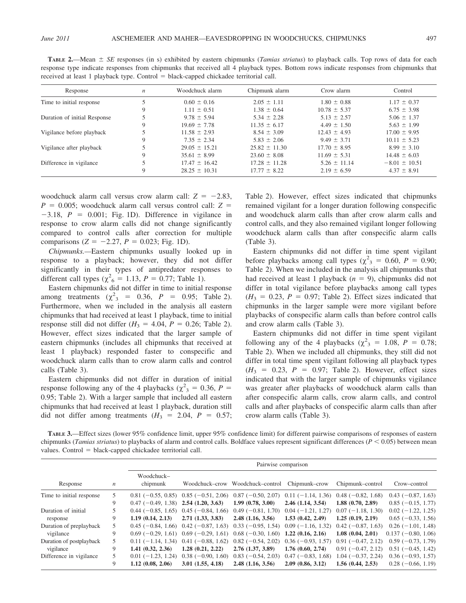| Response                     | $\boldsymbol{n}$ | Woodchuck alarm   | Chipmunk alarm    | Crow alarm       | Control           |
|------------------------------|------------------|-------------------|-------------------|------------------|-------------------|
| Time to initial response     |                  | $0.60 \pm 0.16$   | $2.05 \pm 1.11$   | $1.80 \pm 0.88$  | $1.17 \pm 0.37$   |
|                              |                  | $1.11 \pm 0.51$   | $1.38 \pm 0.64$   | $10.78 \pm 5.37$ | $6.75 \pm 3.98$   |
| Duration of initial Response |                  | $9.78 \pm 5.94$   | $5.34 \pm 2.28$   | $5.13 \pm 2.57$  | $5.06 \pm 1.37$   |
|                              |                  | $19.69 \pm 7.78$  | $11.35 \pm 6.17$  | $4.49 \pm 1.50$  | $5.63 \pm 1.99$   |
| Vigilance before playback    |                  | $11.58 \pm 2.93$  | $8.54 \pm 3.09$   | $12.43 \pm 4.93$ | $17.00 \pm 9.95$  |
|                              |                  | $7.35 \pm 2.34$   | $5.83 \pm 2.06$   | $9.49 \pm 3.71$  | $10.11 \pm 5.23$  |
| Vigilance after playback     |                  | $29.05 \pm 15.21$ | $25.82 \pm 11.30$ | $17.70 \pm 8.95$ | $8.99 \pm 3.10$   |
|                              |                  | $35.61 \pm 8.99$  | $23.60 \pm 8.08$  | $11.69 \pm 5.31$ | $14.48 \pm 6.03$  |
| Difference in vigilance      |                  | $17.47 \pm 16.42$ | $17.28 \pm 11.28$ | $5.26 \pm 11.14$ | $-8.01 \pm 10.51$ |
|                              |                  | $28.25 \pm 10.31$ | $17.77 \pm 8.22$  | $2.19 \pm 6.59$  | $4.37 \pm 8.91$   |

TABLE 2.—Mean  $\pm$  SE responses (in s) exhibited by eastern chipmunks (Tamias striatus) to playback calls. Top rows of data for each response type indicate responses from chipmunks that received all 4 playback types. Bottom rows indicate responses from chipmunks that received at least 1 playback type. Control  $=$  black-capped chickadee territorial call.

woodchuck alarm call versus crow alarm call:  $Z = -2.83$ ,  $P = 0.005$ ; woodchuck alarm call versus control call:  $Z =$  $-3.18$ ,  $P = 0.001$ ; Fig. 1D). Difference in vigilance in response to crow alarm calls did not change significantly compared to control calls after correction for multiple comparisons ( $Z = -2.27$ ,  $P = 0.023$ ; Fig. 1D).

Chipmunks.—Eastern chipmunks usually looked up in response to a playback; however, they did not differ significantly in their types of antipredator responses to different call types ( $\chi^2$ <sub>6</sub> = 1.13, *P* = 0.77; Table 1).

Eastern chipmunks did not differ in time to initial response among treatments  $(\chi^2_{3} = 0.36, P = 0.95;$  Table 2). Furthermore, when we included in the analysis all eastern chipmunks that had received at least 1 playback, time to initial response still did not differ  $(H_3 = 4.04, P = 0.26;$  Table 2). However, effect sizes indicated that the larger sample of eastern chipmunks (includes all chipmunks that received at least 1 playback) responded faster to conspecific and woodchuck alarm calls than to crow alarm calls and control calls (Table 3).

Eastern chipmunks did not differ in duration of initial response following any of the 4 playbacks ( $\chi^2$ <sub>3</sub> = 0.36, P = 0.95; Table 2). With a larger sample that included all eastern chipmunks that had received at least 1 playback, duration still did not differ among treatments  $(H_3 = 2.04, P = 0.57;$  Table 2). However, effect sizes indicated that chipmunks remained vigilant for a longer duration following conspecific and woodchuck alarm calls than after crow alarm calls and control calls, and they also remained vigilant longer following woodchuck alarm calls than after conspecific alarm calls (Table 3).

Eastern chipmunks did not differ in time spent vigilant before playbacks among call types ( $\chi^2$ <sub>3</sub> = 0.60, P = 0.90; Table 2). When we included in the analysis all chipmunks that had received at least 1 playback ( $n = 9$ ), chipmunks did not differ in total vigilance before playbacks among call types  $(H_3 = 0.23, P = 0.97;$  Table 2). Effect sizes indicated that chipmunks in the larger sample were more vigilant before playbacks of conspecific alarm calls than before control calls and crow alarm calls (Table 3).

Eastern chipmunks did not differ in time spent vigilant following any of the 4 playbacks ( $\chi^2$ <sub>3</sub> = 1.08, P = 0.78; Table 2). When we included all chipmunks, they still did not differ in total time spent vigilant following all playback types  $(H_3 = 0.23, P = 0.97;$  Table 2). However, effect sizes indicated that with the larger sample of chipmunks vigilance was greater after playbacks of woodchuck alarm calls than after conspecific alarm calls, crow alarm calls, and control calls and after playbacks of conspecific alarm calls than after crow alarm calls (Table 3).

TABLE 3.—Effect sizes (lower 95% confidence limit, upper 95% confidence limit) for different pairwise comparisons of responses of eastern chipmunks (Tamias striatus) to playbacks of alarm and control calls. Boldface values represent significant differences ( $P < 0.05$ ) between mean values. Control = black-capped chickadee territorial call.

|                                 |                  | Pairwise comparison                    |                  |                                                                                                          |                     |                     |                      |  |
|---------------------------------|------------------|----------------------------------------|------------------|----------------------------------------------------------------------------------------------------------|---------------------|---------------------|----------------------|--|
| Response                        | $\boldsymbol{n}$ | Woodchuck-<br>chipmunk                 |                  | Woodchuck-crow Woodchuck-control Chipmunk-crow                                                           |                     | Chipmunk-control    | Crow-control         |  |
| Time to initial response        | 5.               |                                        |                  | $0.81$ (-0.55, 0.85) 0.85 (-0.51, 2.06) 0.87 (-0.50, 2.07) 0.11 (-1.14, 1.36) 0.48 (-0.82, 1.68)         |                     |                     | $0.43$ (-0.87, 1.63) |  |
|                                 | 9                | $0.47$ (-0.49, 1.38) 2.54 (1.20, 3.63) |                  | 1.99(0.78, 3.00)                                                                                         | $2.46$ (1.14, 3.54) | 1.88(0.70, 2.89)    | $0.85(-0.15, 1.77)$  |  |
| Duration of initial<br>response |                  |                                        |                  | $0.44 (-0.85, 1.65)$ $0.45 (-0.84, 1.66)$ $0.49 (-0.81, 1.70)$ $0.04 (-1.21, 1.27)$ $0.07 (-1.18, 1.30)$ |                     |                     | $0.02(-1.22, 1.25)$  |  |
|                                 | 9                | 1.19(0.14, 2.13)                       | 2.71(1.33, 3.83) | 2.48(1.16, 3.56)                                                                                         | 1.53(0.42, 2.49)    | 1.25(0.19, 2.19)    | $0.65(-0.33, 1.56)$  |  |
| Duration of preplayback         | 5.               |                                        |                  | $0.45$ (-0.84, 1.66) $0.42$ (-0.87, 1.63) $0.33$ (-0.95, 1.54) $0.09$ (-1.16, 1.32)                      |                     | $0.42(-0.87, 1.63)$ | $0.26(-1.01, 1.48)$  |  |
| vigilance                       | 9                |                                        |                  | $0.69$ (-0.29, 1.61) 0.69 (-0.29, 1.61) 0.68 (-0.30, 1.60) 1.22 (0.16, 2.16)                             |                     | 1.08(0.04, 2.01)    | $0.137(-0.80, 1.06)$ |  |
| Duration of postplayback        | 5.               |                                        |                  | $0.11$ (-1.14, 1.34) 0.41 (-0.88, 1.62) 0.82 (-0.54, 2.02) 0.36 (-0.93, 1.57)                            |                     | $0.91(-0.47, 2.12)$ | $0.59(-0.73, 1.79)$  |  |
| vigilance                       | 9                | 1.41(0.32, 2.36)                       | 1.28(0.21, 2.22) | 2.76(1.37, 3.89)                                                                                         | 1.76(0.60, 2.74)    | $0.91(-0.47, 2.12)$ | $0.51(-0.45, 1.42)$  |  |
| Difference in vigilance         |                  | $0.01(-1.23, 1.24)$                    |                  | $0.38 (-0.90, 1.60) 0.83 (-0.54, 2.03) 0.47 (-0.83, 1.68)$                                               |                     | $1.04(-0.37, 2.24)$ | $0.36(-0.93, 1.57)$  |  |
|                                 | 9                | 1.12(0.08, 2.06)                       | 3.01(1.55, 4.18) | 2.48(1.16, 3.56)                                                                                         | 2.09(0.86, 3.12)    | 1.56(0.44, 2.53)    | $0.28(-0.66, 1.19)$  |  |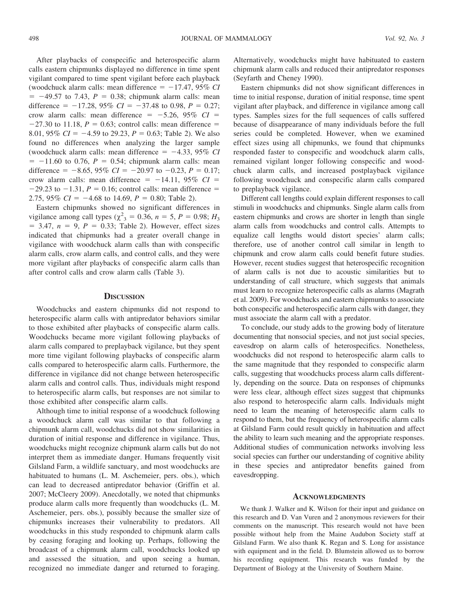After playbacks of conspecific and heterospecific alarm calls eastern chipmunks displayed no difference in time spent vigilant compared to time spent vigilant before each playback (woodchuck alarm calls: mean difference  $= -17.47$ , 95% CI  $= -49.57$  to 7.43,  $P = 0.38$ ; chipmunk alarm calls: mean difference =  $-17.28$ , 95% CI =  $-37.48$  to 0.98, P = 0.27; crow alarm calls: mean difference  $= -5.26, 95\%$  CI =  $-27.30$  to 11.18,  $P = 0.63$ ; control calls: mean difference = 8.01, 95\% CI = -4.59 to 29.23, P = 0.63; Table 2). We also found no differences when analyzing the larger sample (woodchuck alarm calls: mean difference  $= -4.33$ , 95% CI  $= -11.60$  to 0.76,  $P = 0.54$ ; chipmunk alarm calls: mean difference =  $-8.65$ , 95% CI =  $-20.97$  to  $-0.23$ , P = 0.17; crow alarm calls: mean difference =  $-14.11$ , 95% CI =  $-29.23$  to  $-1.31$ ,  $P = 0.16$ ; control calls: mean difference = 2.75, 95%  $CI = -4.68$  to 14.69,  $P = 0.80$ ; Table 2).

Eastern chipmunks showed no significant differences in vigilance among call types ( $\chi^2$ <sub>3</sub> = 0.36, n = 5, P = 0.98; H<sub>3</sub>  $=$  3.47,  $n = 9$ ,  $P = 0.33$ ; Table 2). However, effect sizes indicated that chipmunks had a greater overall change in vigilance with woodchuck alarm calls than with conspecific alarm calls, crow alarm calls, and control calls, and they were more vigilant after playbacks of conspecific alarm calls than after control calls and crow alarm calls (Table 3).

### **DISCUSSION**

Woodchucks and eastern chipmunks did not respond to heterospecific alarm calls with antipredator behaviors similar to those exhibited after playbacks of conspecific alarm calls. Woodchucks became more vigilant following playbacks of alarm calls compared to preplayback vigilance, but they spent more time vigilant following playbacks of conspecific alarm calls compared to heterospecific alarm calls. Furthermore, the difference in vigilance did not change between heterospecific alarm calls and control calls. Thus, individuals might respond to heterospecific alarm calls, but responses are not similar to those exhibited after conspecific alarm calls.

Although time to initial response of a woodchuck following a woodchuck alarm call was similar to that following a chipmunk alarm call, woodchucks did not show similarities in duration of initial response and difference in vigilance. Thus, woodchucks might recognize chipmunk alarm calls but do not interpret them as immediate danger. Humans frequently visit Gilsland Farm, a wildlife sanctuary, and most woodchucks are habituated to humans (L. M. Aschemeier, pers. obs.), which can lead to decreased antipredator behavior (Griffin et al. 2007; McCleery 2009). Anecdotally, we noted that chipmunks produce alarm calls more frequently than woodchucks (L. M. Aschemeier, pers. obs.), possibly because the smaller size of chipmunks increases their vulnerability to predators. All woodchucks in this study responded to chipmunk alarm calls by ceasing foraging and looking up. Perhaps, following the broadcast of a chipmunk alarm call, woodchucks looked up and assessed the situation, and upon seeing a human, recognized no immediate danger and returned to foraging.

Alternatively, woodchucks might have habituated to eastern chipmunk alarm calls and reduced their antipredator responses (Seyfarth and Cheney 1990).

Eastern chipmunks did not show significant differences in time to initial response, duration of initial response, time spent vigilant after playback, and difference in vigilance among call types. Samples sizes for the full sequences of calls suffered because of disappearance of many individuals before the full series could be completed. However, when we examined effect sizes using all chipmunks, we found that chipmunks responded faster to conspecific and woodchuck alarm calls, remained vigilant longer following conspecific and woodchuck alarm calls, and increased postplayback vigilance following woodchuck and conspecific alarm calls compared to preplayback vigilance.

Different call lengths could explain different responses to call stimuli in woodchucks and chipmunks. Single alarm calls from eastern chipmunks and crows are shorter in length than single alarm calls from woodchucks and control calls. Attempts to equalize call lengths would distort species' alarm calls; therefore, use of another control call similar in length to chipmunk and crow alarm calls could benefit future studies. However, recent studies suggest that heterospecific recognition of alarm calls is not due to acoustic similarities but to understanding of call structure, which suggests that animals must learn to recognize heterospecific calls as alarms (Magrath et al. 2009). For woodchucks and eastern chipmunks to associate both conspecific and heterospecific alarm calls with danger, they must associate the alarm call with a predator.

To conclude, our study adds to the growing body of literature documenting that nonsocial species, and not just social species, eavesdrop on alarm calls of heterospecifics. Nonetheless, woodchucks did not respond to heterospecific alarm calls to the same magnitude that they responded to conspecific alarm calls, suggesting that woodchucks process alarm calls differently, depending on the source. Data on responses of chipmunks were less clear, although effect sizes suggest that chipmunks also respond to heterospecific alarm calls. Individuals might need to learn the meaning of heterospecific alarm calls to respond to them, but the frequency of heterospecific alarm calls at Gilsland Farm could result quickly in habituation and affect the ability to learn such meaning and the appropriate responses. Additional studies of communication networks involving less social species can further our understanding of cognitive ability in these species and antipredator benefits gained from eavesdropping.

#### **ACKNOWLEDGMENTS**

We thank J. Walker and K. Wilson for their input and guidance on this research and D. Van Vuren and 2 anonymous reviewers for their comments on the manuscript. This research would not have been possible without help from the Maine Audubon Society staff at Gilsland Farm. We also thank K. Regan and S. Long for assistance with equipment and in the field. D. Blumstein allowed us to borrow his recording equipment. This research was funded by the Department of Biology at the University of Southern Maine.